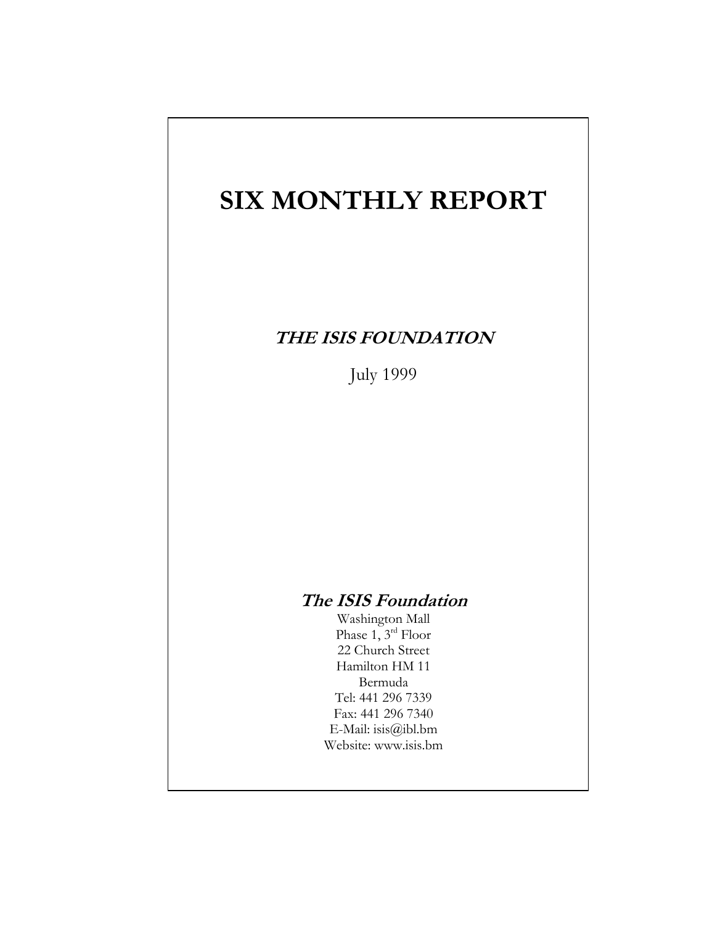# **SIX MONTHLY REPORT**

# **THE ISIS FOUNDATION**

July 1999

# **The ISIS Foundation**

Washington Mall Phase 1, 3rd Floor 22 Church Street Hamilton HM 11 Bermuda Tel: 441 296 7339 Fax: 441 296 7340 E-Mail: isis@ibl.bm Website: www.isis.bm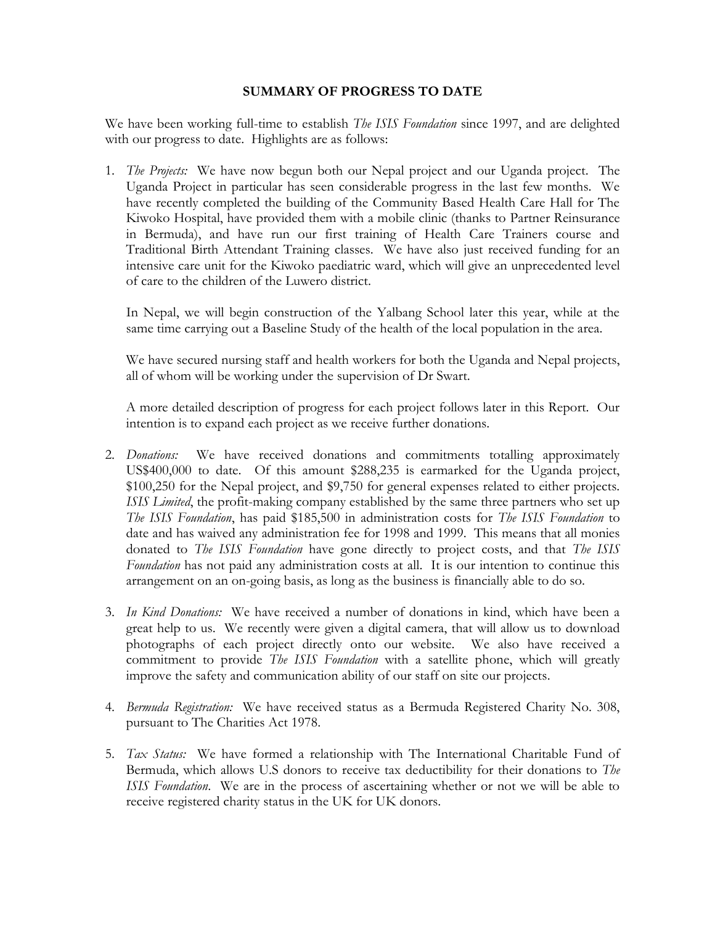#### **SUMMARY OF PROGRESS TO DATE**

We have been working full-time to establish *The ISIS Foundation* since 1997, and are delighted with our progress to date. Highlights are as follows:

1. *The Projects:* We have now begun both our Nepal project and our Uganda project. The Uganda Project in particular has seen considerable progress in the last few months. We have recently completed the building of the Community Based Health Care Hall for The Kiwoko Hospital, have provided them with a mobile clinic (thanks to Partner Reinsurance in Bermuda), and have run our first training of Health Care Trainers course and Traditional Birth Attendant Training classes. We have also just received funding for an intensive care unit for the Kiwoko paediatric ward, which will give an unprecedented level of care to the children of the Luwero district.

In Nepal, we will begin construction of the Yalbang School later this year, while at the same time carrying out a Baseline Study of the health of the local population in the area.

We have secured nursing staff and health workers for both the Uganda and Nepal projects, all of whom will be working under the supervision of Dr Swart.

A more detailed description of progress for each project follows later in this Report. Our intention is to expand each project as we receive further donations.

- 2. *Donations:* We have received donations and commitments totalling approximately US\$400,000 to date. Of this amount \$288,235 is earmarked for the Uganda project, \$100,250 for the Nepal project, and \$9,750 for general expenses related to either projects. *ISIS Limited*, the profit-making company established by the same three partners who set up *The ISIS Foundation*, has paid \$185,500 in administration costs for *The ISIS Foundation* to date and has waived any administration fee for 1998 and 1999. This means that all monies donated to *The ISIS Foundation* have gone directly to project costs, and that *The ISIS Foundation* has not paid any administration costs at all. It is our intention to continue this arrangement on an on-going basis, as long as the business is financially able to do so.
- 3. *In Kind Donations:* We have received a number of donations in kind, which have been a great help to us. We recently were given a digital camera, that will allow us to download photographs of each project directly onto our website. We also have received a commitment to provide *The ISIS Foundation* with a satellite phone, which will greatly improve the safety and communication ability of our staff on site our projects.
- 4. *Bermuda Registration:* We have received status as a Bermuda Registered Charity No. 308, pursuant to The Charities Act 1978.
- 5. *Tax Status:* We have formed a relationship with The International Charitable Fund of Bermuda, which allows U.S donors to receive tax deductibility for their donations to *The ISIS Foundation*. We are in the process of ascertaining whether or not we will be able to receive registered charity status in the UK for UK donors.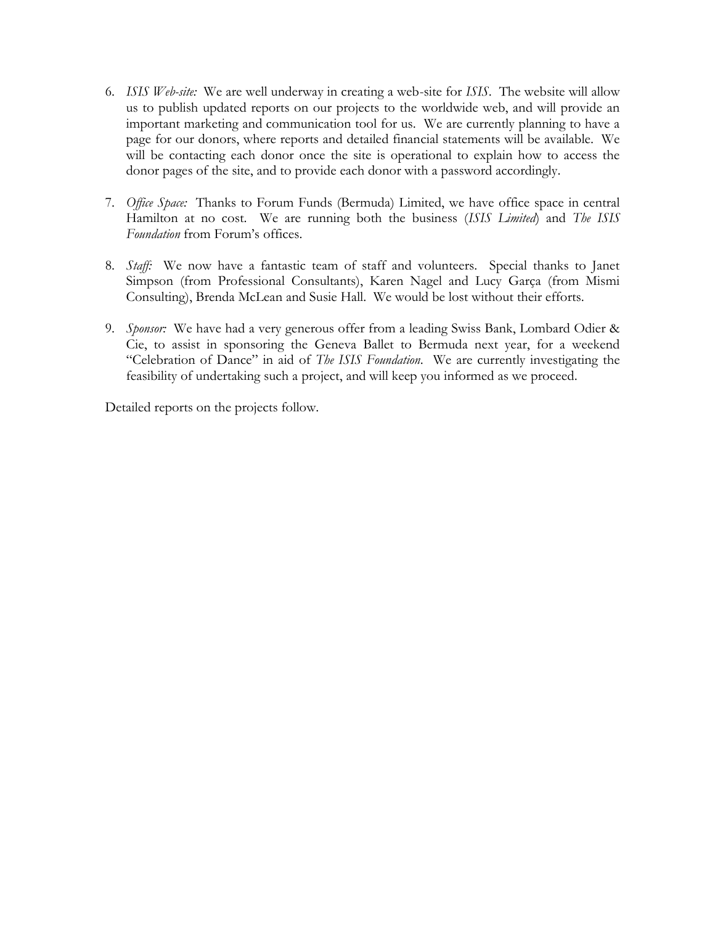- 6. *ISIS Web-site:* We are well underway in creating a web-site for *ISIS*. The website will allow us to publish updated reports on our projects to the worldwide web, and will provide an important marketing and communication tool for us. We are currently planning to have a page for our donors, where reports and detailed financial statements will be available. We will be contacting each donor once the site is operational to explain how to access the donor pages of the site, and to provide each donor with a password accordingly.
- 7. *Office Space:* Thanks to Forum Funds (Bermuda) Limited, we have office space in central Hamilton at no cost. We are running both the business (*ISIS Limited*) and *The ISIS Foundation* from Forum's offices.
- 8. *Staff:* We now have a fantastic team of staff and volunteers. Special thanks to Janet Simpson (from Professional Consultants), Karen Nagel and Lucy Garça (from Mismi Consulting), Brenda McLean and Susie Hall. We would be lost without their efforts.
- 9. *Sponsor:* We have had a very generous offer from a leading Swiss Bank, Lombard Odier & Cie, to assist in sponsoring the Geneva Ballet to Bermuda next year, for a weekend "Celebration of Dance" in aid of *The ISIS Foundation*. We are currently investigating the feasibility of undertaking such a project, and will keep you informed as we proceed.

Detailed reports on the projects follow.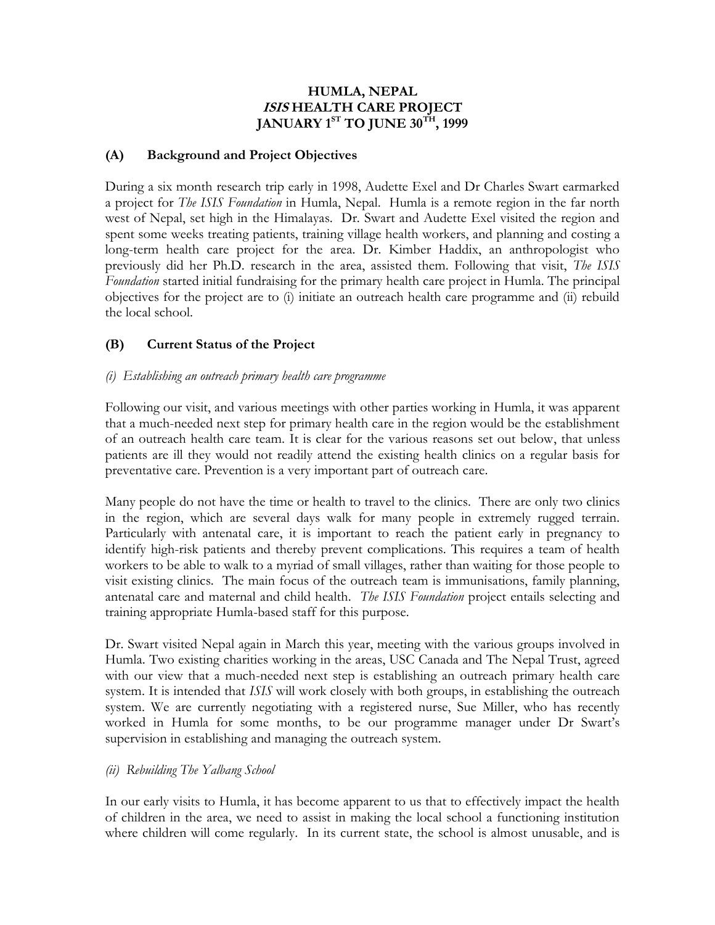#### **HUMLA, NEPAL ISIS HEALTH CARE PROJECT JANUARY 1ST TO JUNE 30TH, 1999**

#### **(A) Background and Project Objectives**

During a six month research trip early in 1998, Audette Exel and Dr Charles Swart earmarked a project for *The ISIS Foundation* in Humla, Nepal. Humla is a remote region in the far north west of Nepal, set high in the Himalayas. Dr. Swart and Audette Exel visited the region and spent some weeks treating patients, training village health workers, and planning and costing a long-term health care project for the area. Dr. Kimber Haddix, an anthropologist who previously did her Ph.D. research in the area, assisted them. Following that visit, *The ISIS Foundation* started initial fundraising for the primary health care project in Humla. The principal objectives for the project are to (i) initiate an outreach health care programme and (ii) rebuild the local school.

## **(B) Current Status of the Project**

#### *(i) Establishing an outreach primary health care programme*

Following our visit, and various meetings with other parties working in Humla, it was apparent that a much-needed next step for primary health care in the region would be the establishment of an outreach health care team. It is clear for the various reasons set out below, that unless patients are ill they would not readily attend the existing health clinics on a regular basis for preventative care. Prevention is a very important part of outreach care.

Many people do not have the time or health to travel to the clinics. There are only two clinics in the region, which are several days walk for many people in extremely rugged terrain. Particularly with antenatal care, it is important to reach the patient early in pregnancy to identify high-risk patients and thereby prevent complications. This requires a team of health workers to be able to walk to a myriad of small villages, rather than waiting for those people to visit existing clinics. The main focus of the outreach team is immunisations, family planning, antenatal care and maternal and child health. *The ISIS Foundation* project entails selecting and training appropriate Humla-based staff for this purpose.

Dr. Swart visited Nepal again in March this year, meeting with the various groups involved in Humla. Two existing charities working in the areas, USC Canada and The Nepal Trust, agreed with our view that a much-needed next step is establishing an outreach primary health care system. It is intended that *ISIS* will work closely with both groups, in establishing the outreach system. We are currently negotiating with a registered nurse, Sue Miller, who has recently worked in Humla for some months, to be our programme manager under Dr Swart's supervision in establishing and managing the outreach system.

#### *(ii) Rebuilding The Yalbang School*

In our early visits to Humla, it has become apparent to us that to effectively impact the health of children in the area, we need to assist in making the local school a functioning institution where children will come regularly. In its current state, the school is almost unusable, and is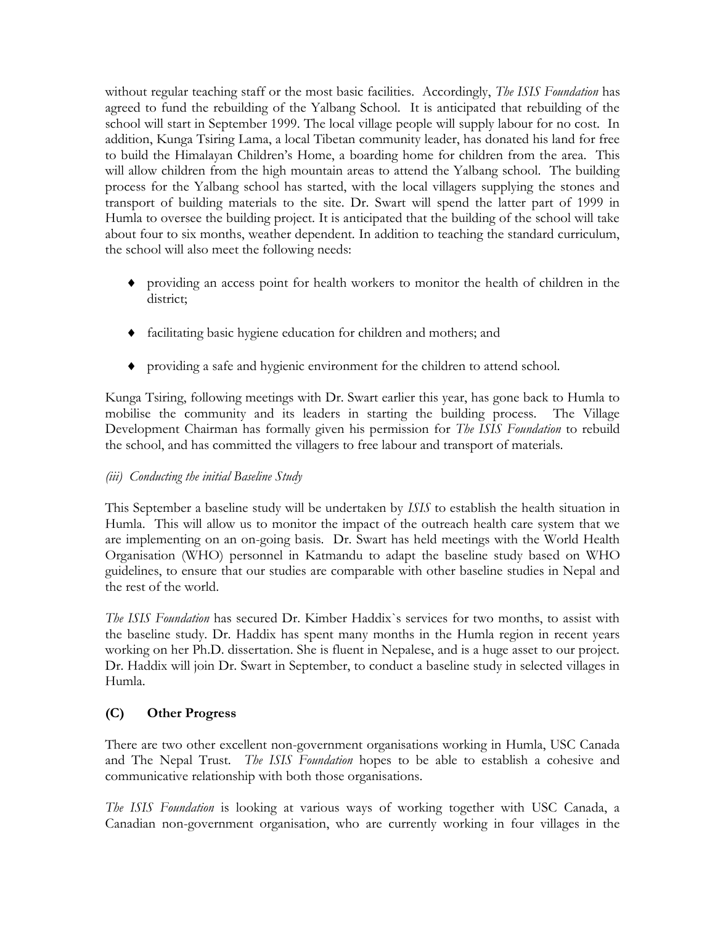without regular teaching staff or the most basic facilities. Accordingly, *The ISIS Foundation* has agreed to fund the rebuilding of the Yalbang School. It is anticipated that rebuilding of the school will start in September 1999. The local village people will supply labour for no cost. In addition, Kunga Tsiring Lama, a local Tibetan community leader, has donated his land for free to build the Himalayan Children's Home, a boarding home for children from the area. This will allow children from the high mountain areas to attend the Yalbang school. The building process for the Yalbang school has started, with the local villagers supplying the stones and transport of building materials to the site. Dr. Swart will spend the latter part of 1999 in Humla to oversee the building project. It is anticipated that the building of the school will take about four to six months, weather dependent. In addition to teaching the standard curriculum, the school will also meet the following needs:

- providing an access point for health workers to monitor the health of children in the district;
- facilitating basic hygiene education for children and mothers; and
- providing a safe and hygienic environment for the children to attend school.

Kunga Tsiring, following meetings with Dr. Swart earlier this year, has gone back to Humla to mobilise the community and its leaders in starting the building process. The Village Development Chairman has formally given his permission for *The ISIS Foundation* to rebuild the school, and has committed the villagers to free labour and transport of materials.

# *(iii) Conducting the initial Baseline Study*

This September a baseline study will be undertaken by *ISIS* to establish the health situation in Humla. This will allow us to monitor the impact of the outreach health care system that we are implementing on an on-going basis. Dr. Swart has held meetings with the World Health Organisation (WHO) personnel in Katmandu to adapt the baseline study based on WHO guidelines, to ensure that our studies are comparable with other baseline studies in Nepal and the rest of the world.

*The ISIS Foundation* has secured Dr. Kimber Haddix`s services for two months, to assist with the baseline study. Dr. Haddix has spent many months in the Humla region in recent years working on her Ph.D. dissertation. She is fluent in Nepalese, and is a huge asset to our project. Dr. Haddix will join Dr. Swart in September, to conduct a baseline study in selected villages in Humla.

# **(C) Other Progress**

There are two other excellent non-government organisations working in Humla, USC Canada and The Nepal Trust. *The ISIS Foundation* hopes to be able to establish a cohesive and communicative relationship with both those organisations.

*The ISIS Foundation* is looking at various ways of working together with USC Canada, a Canadian non-government organisation, who are currently working in four villages in the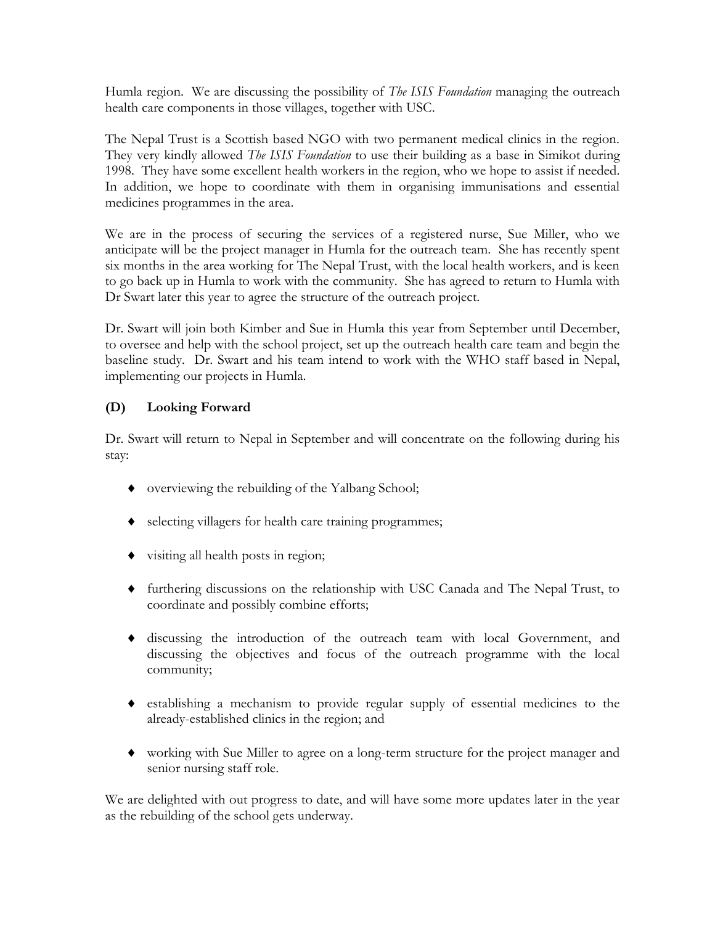Humla region. We are discussing the possibility of *The ISIS Foundation* managing the outreach health care components in those villages, together with USC.

The Nepal Trust is a Scottish based NGO with two permanent medical clinics in the region. They very kindly allowed *The ISIS Foundation* to use their building as a base in Simikot during 1998. They have some excellent health workers in the region, who we hope to assist if needed. In addition, we hope to coordinate with them in organising immunisations and essential medicines programmes in the area.

We are in the process of securing the services of a registered nurse, Sue Miller, who we anticipate will be the project manager in Humla for the outreach team. She has recently spent six months in the area working for The Nepal Trust, with the local health workers, and is keen to go back up in Humla to work with the community. She has agreed to return to Humla with Dr Swart later this year to agree the structure of the outreach project.

Dr. Swart will join both Kimber and Sue in Humla this year from September until December, to oversee and help with the school project, set up the outreach health care team and begin the baseline study. Dr. Swart and his team intend to work with the WHO staff based in Nepal, implementing our projects in Humla.

# **(D) Looking Forward**

Dr. Swart will return to Nepal in September and will concentrate on the following during his stay:

- overviewing the rebuilding of the Yalbang School;
- selecting villagers for health care training programmes;
- visiting all health posts in region;
- furthering discussions on the relationship with USC Canada and The Nepal Trust, to coordinate and possibly combine efforts;
- discussing the introduction of the outreach team with local Government, and discussing the objectives and focus of the outreach programme with the local community;
- establishing a mechanism to provide regular supply of essential medicines to the already-established clinics in the region; and
- working with Sue Miller to agree on a long-term structure for the project manager and senior nursing staff role.

We are delighted with out progress to date, and will have some more updates later in the year as the rebuilding of the school gets underway.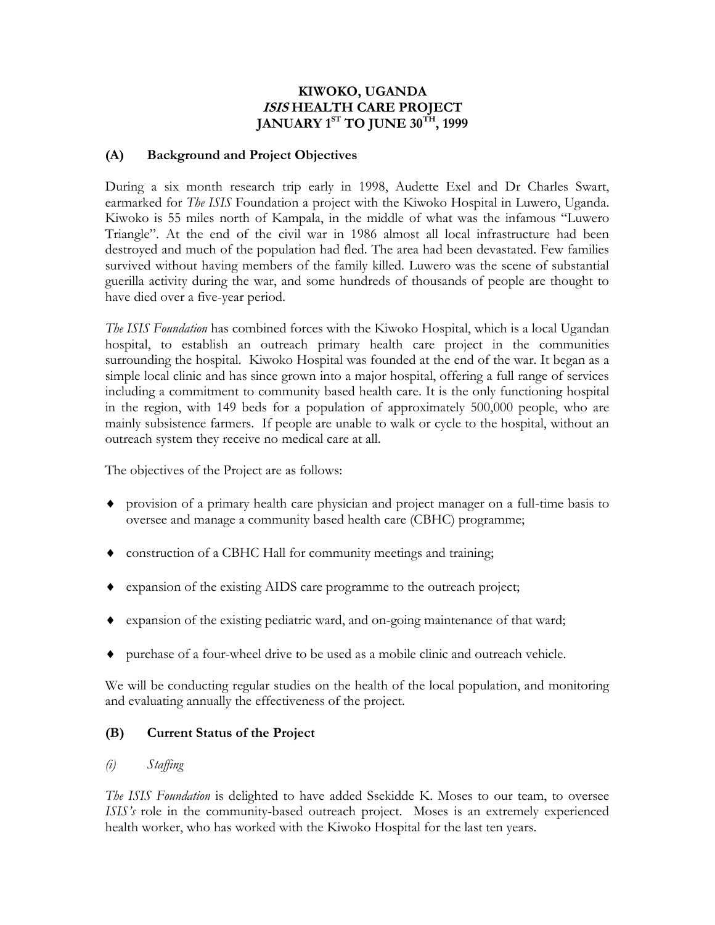#### **KIWOKO, UGANDA ISIS HEALTH CARE PROJECT JANUARY 1ST TO JUNE 30TH, 1999**

#### **(A) Background and Project Objectives**

During a six month research trip early in 1998, Audette Exel and Dr Charles Swart, earmarked for *The ISIS* Foundation a project with the Kiwoko Hospital in Luwero, Uganda. Kiwoko is 55 miles north of Kampala, in the middle of what was the infamous "Luwero Triangle". At the end of the civil war in 1986 almost all local infrastructure had been destroyed and much of the population had fled. The area had been devastated. Few families survived without having members of the family killed. Luwero was the scene of substantial guerilla activity during the war, and some hundreds of thousands of people are thought to have died over a five-year period.

*The ISIS Foundation* has combined forces with the Kiwoko Hospital, which is a local Ugandan hospital, to establish an outreach primary health care project in the communities surrounding the hospital. Kiwoko Hospital was founded at the end of the war. It began as a simple local clinic and has since grown into a major hospital, offering a full range of services including a commitment to community based health care. It is the only functioning hospital in the region, with 149 beds for a population of approximately 500,000 people, who are mainly subsistence farmers. If people are unable to walk or cycle to the hospital, without an outreach system they receive no medical care at all.

The objectives of the Project are as follows:

- provision of a primary health care physician and project manager on a full-time basis to oversee and manage a community based health care (CBHC) programme;
- construction of a CBHC Hall for community meetings and training;
- expansion of the existing AIDS care programme to the outreach project;
- expansion of the existing pediatric ward, and on-going maintenance of that ward;
- purchase of a four-wheel drive to be used as a mobile clinic and outreach vehicle.

We will be conducting regular studies on the health of the local population, and monitoring and evaluating annually the effectiveness of the project.

# **(B) Current Status of the Project**

# *(i) Staffing*

*The ISIS Foundation* is delighted to have added Ssekidde K. Moses to our team, to oversee *ISIS's* role in the community-based outreach project. Moses is an extremely experienced health worker, who has worked with the Kiwoko Hospital for the last ten years.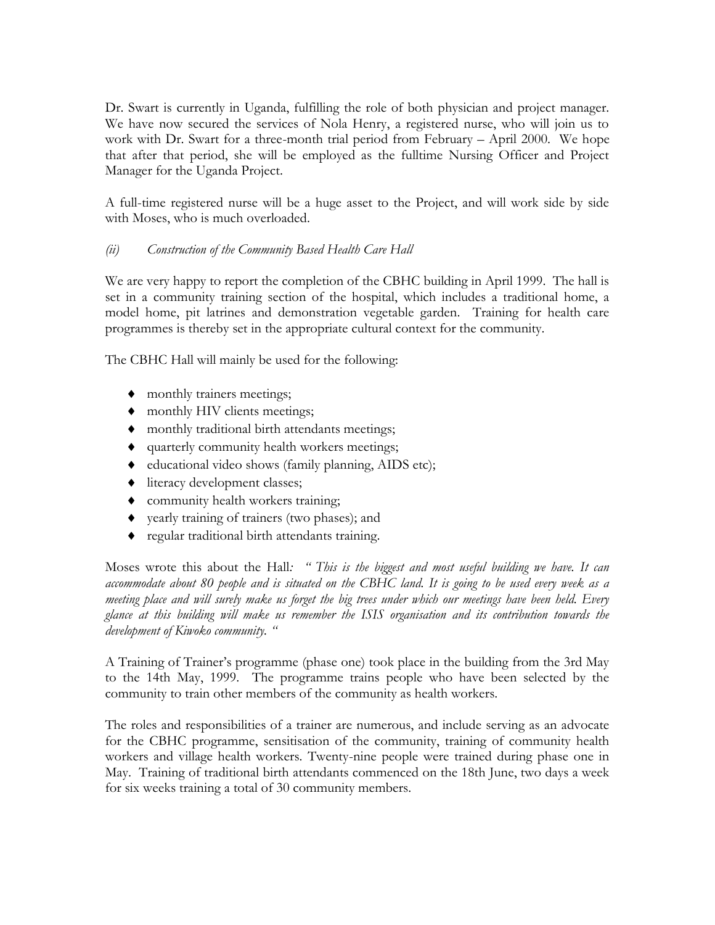Dr. Swart is currently in Uganda, fulfilling the role of both physician and project manager. We have now secured the services of Nola Henry, a registered nurse, who will join us to work with Dr. Swart for a three-month trial period from February – April 2000. We hope that after that period, she will be employed as the fulltime Nursing Officer and Project Manager for the Uganda Project.

A full-time registered nurse will be a huge asset to the Project, and will work side by side with Moses, who is much overloaded.

## *(ii) Construction of the Community Based Health Care Hall*

We are very happy to report the completion of the CBHC building in April 1999. The hall is set in a community training section of the hospital, which includes a traditional home, a model home, pit latrines and demonstration vegetable garden. Training for health care programmes is thereby set in the appropriate cultural context for the community.

The CBHC Hall will mainly be used for the following:

- monthly trainers meetings;
- $\bullet$  monthly HIV clients meetings;
- monthly traditional birth attendants meetings;
- quarterly community health workers meetings;
- educational video shows (family planning, AIDS etc);
- $\bullet$  literacy development classes;
- community health workers training;
- yearly training of trainers (two phases); and
- regular traditional birth attendants training.

Moses wrote this about the Hall*: " This is the biggest and most useful building we have. It can accommodate about 80 people and is situated on the CBHC land. It is going to be used every week as a meeting place and will surely make us forget the big trees under which our meetings have been held. Every glance at this building will make us remember the ISIS organisation and its contribution towards the development of Kiwoko community. "*

A Training of Trainer's programme (phase one) took place in the building from the 3rd May to the 14th May, 1999. The programme trains people who have been selected by the community to train other members of the community as health workers.

The roles and responsibilities of a trainer are numerous, and include serving as an advocate for the CBHC programme, sensitisation of the community, training of community health workers and village health workers. Twenty-nine people were trained during phase one in May. Training of traditional birth attendants commenced on the 18th June, two days a week for six weeks training a total of 30 community members.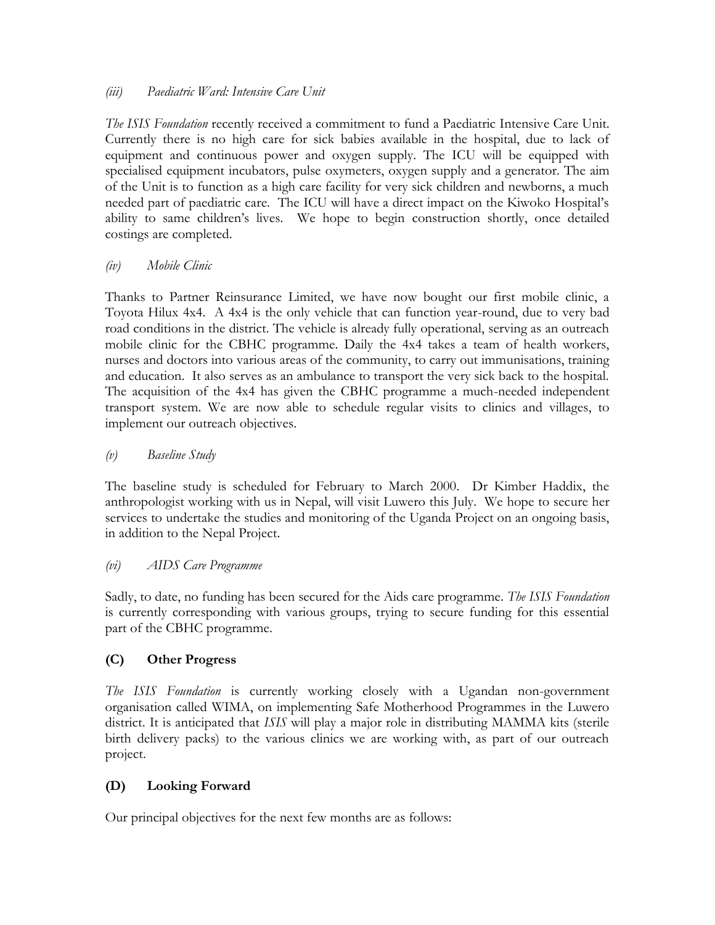#### *(iii) Paediatric Ward: Intensive Care Unit*

*The ISIS Foundation* recently received a commitment to fund a Paediatric Intensive Care Unit. Currently there is no high care for sick babies available in the hospital, due to lack of equipment and continuous power and oxygen supply. The ICU will be equipped with specialised equipment incubators, pulse oxymeters, oxygen supply and a generator. The aim of the Unit is to function as a high care facility for very sick children and newborns, a much needed part of paediatric care. The ICU will have a direct impact on the Kiwoko Hospital's ability to same children's lives. We hope to begin construction shortly, once detailed costings are completed.

## *(iv) Mobile Clinic*

Thanks to Partner Reinsurance Limited, we have now bought our first mobile clinic, a Toyota Hilux 4x4. A 4x4 is the only vehicle that can function year-round, due to very bad road conditions in the district. The vehicle is already fully operational, serving as an outreach mobile clinic for the CBHC programme. Daily the 4x4 takes a team of health workers, nurses and doctors into various areas of the community, to carry out immunisations, training and education. It also serves as an ambulance to transport the very sick back to the hospital. The acquisition of the 4x4 has given the CBHC programme a much-needed independent transport system. We are now able to schedule regular visits to clinics and villages, to implement our outreach objectives.

# *(v) Baseline Study*

The baseline study is scheduled for February to March 2000. Dr Kimber Haddix, the anthropologist working with us in Nepal, will visit Luwero this July. We hope to secure her services to undertake the studies and monitoring of the Uganda Project on an ongoing basis, in addition to the Nepal Project.

#### *(vi) AIDS Care Programme*

Sadly, to date, no funding has been secured for the Aids care programme. *The ISIS Foundation*  is currently corresponding with various groups, trying to secure funding for this essential part of the CBHC programme.

# **(C) Other Progress**

*The ISIS Foundation* is currently working closely with a Ugandan non-government organisation called WIMA, on implementing Safe Motherhood Programmes in the Luwero district. It is anticipated that *ISIS* will play a major role in distributing MAMMA kits (sterile birth delivery packs) to the various clinics we are working with, as part of our outreach project.

# **(D) Looking Forward**

Our principal objectives for the next few months are as follows: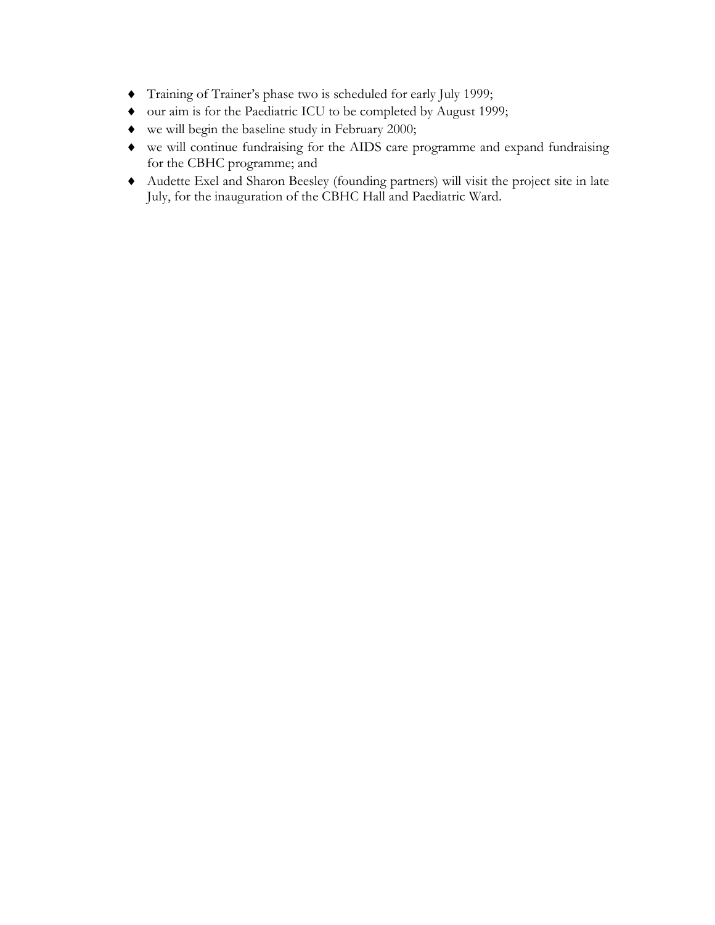- Training of Trainer's phase two is scheduled for early July 1999;
- our aim is for the Paediatric ICU to be completed by August 1999;
- we will begin the baseline study in February 2000;
- we will continue fundraising for the AIDS care programme and expand fundraising for the CBHC programme; and
- Audette Exel and Sharon Beesley (founding partners) will visit the project site in late July, for the inauguration of the CBHC Hall and Paediatric Ward.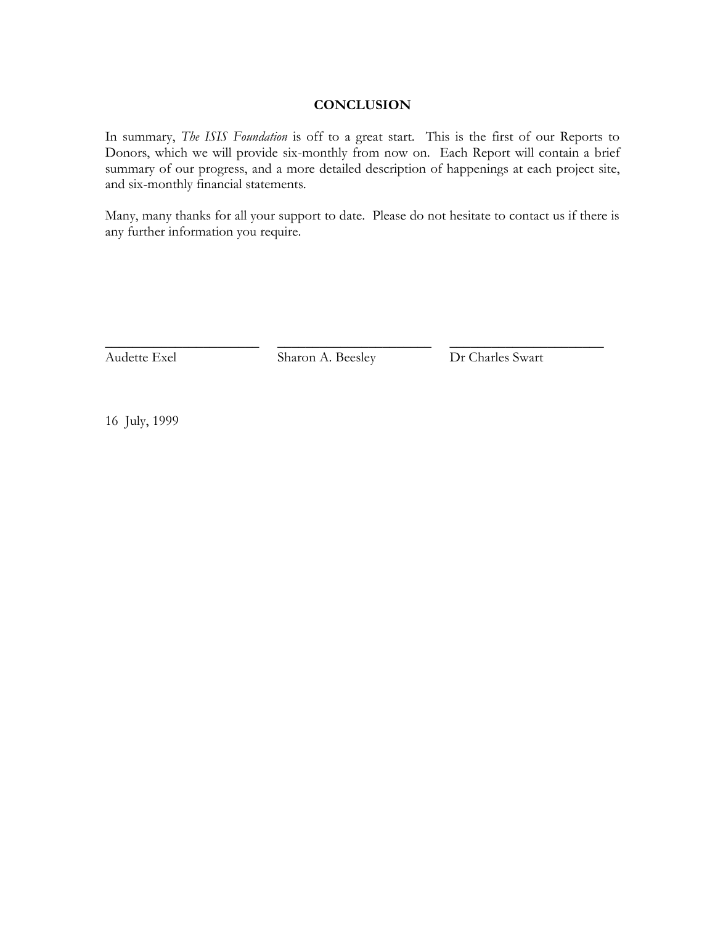## **CONCLUSION**

In summary, *The ISIS Foundation* is off to a great start. This is the first of our Reports to Donors, which we will provide six-monthly from now on. Each Report will contain a brief summary of our progress, and a more detailed description of happenings at each project site, and six-monthly financial statements.

Many, many thanks for all your support to date. Please do not hesitate to contact us if there is any further information you require.

Audette Exel Sharon A. Beesley Dr Charles Swart

\_\_\_\_\_\_\_\_\_\_\_\_\_\_\_\_\_\_\_\_\_\_ \_\_\_\_\_\_\_\_\_\_\_\_\_\_\_\_\_\_\_\_\_\_ \_\_\_\_\_\_\_\_\_\_\_\_\_\_\_\_\_\_\_\_\_\_

16 July, 1999